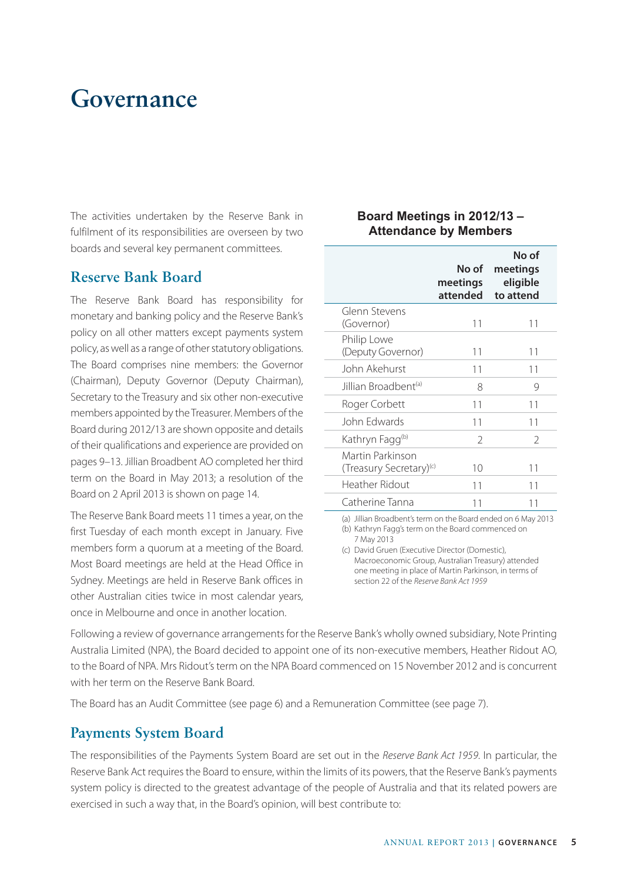# **Governance**

The activities undertaken by the Reserve Bank in fulfilment of its responsibilities are overseen by two boards and several key permanent committees.

#### **Reserve Bank Board**

The Reserve Bank Board has responsibility for monetary and banking policy and the Reserve Bank's policy on all other matters except payments system policy, as well as a range of other statutory obligations. The Board comprises nine members: the Governor (Chairman), Deputy Governor (Deputy Chairman), Secretary to the Treasury and six other non-executive members appointed by the Treasurer. Members of the Board during 2012/13 are shown opposite and details of their qualifications and experience are provided on pages 9–13. Jillian Broadbent AO completed her third term on the Board in May 2013; a resolution of the Board on 2 April 2013 is shown on page 14.

The Reserve Bank Board meets 11 times a year, on the first Tuesday of each month except in January. Five members form a quorum at a meeting of the Board. Most Board meetings are held at the Head Office in Sydney. Meetings are held in Reserve Bank offices in other Australian cities twice in most calendar years, once in Melbourne and once in another location.

#### **Board Meetings in 2012/13 – Attendance by Members**

|                                                         | No of<br>meetings<br>attended | No of<br>meetings<br>eligible<br>to attend |
|---------------------------------------------------------|-------------------------------|--------------------------------------------|
| Glenn Stevens<br>(Governor)                             | 11                            | 11                                         |
| Philip Lowe<br>(Deputy Governor)                        | 11                            | 11                                         |
| John Akehurst                                           | 11                            | 11                                         |
| Jillian Broadbent <sup>(a)</sup>                        | 8                             | 9                                          |
| Roger Corbett                                           | 11                            | 11                                         |
| John Edwards                                            | 11                            | 11                                         |
| Kathryn Fagg <sup>®</sup>                               | 2                             | 2                                          |
| Martin Parkinson<br>(Treasury Secretary) <sup>(c)</sup> | 10                            | 11                                         |
| Heather Ridout                                          | 11                            | 11                                         |
| Catherine Tanna                                         | 11                            | 11                                         |

(a) Jillian Broadbent's term on the Board ended on 6 May 2013 (b) Kathryn Fagg's term on the Board commenced on 7 May 2013

(c) David Gruen (Executive Director (Domestic), Macroeconomic Group, Australian Treasury) attended one meeting in place of Martin Parkinson, in terms of section 22 of the *Reserve Bank Act 1959*

Following a review of governance arrangements for the Reserve Bank's wholly owned subsidiary, Note Printing Australia Limited (NPA), the Board decided to appoint one of its non-executive members, Heather Ridout AO, to the Board of NPA. Mrs Ridout's term on the NPA Board commenced on 15 November 2012 and is concurrent with her term on the Reserve Bank Board.

The Board has an Audit Committee (see page 6) and a Remuneration Committee (see page 7).

#### **Payments System Board**

The responsibilities of the Payments System Board are set out in the *Reserve Bank Act 1959*. In particular, the Reserve Bank Act requires the Board to ensure, within the limits of its powers, that the Reserve Bank's payments system policy is directed to the greatest advantage of the people of Australia and that its related powers are exercised in such a way that, in the Board's opinion, will best contribute to: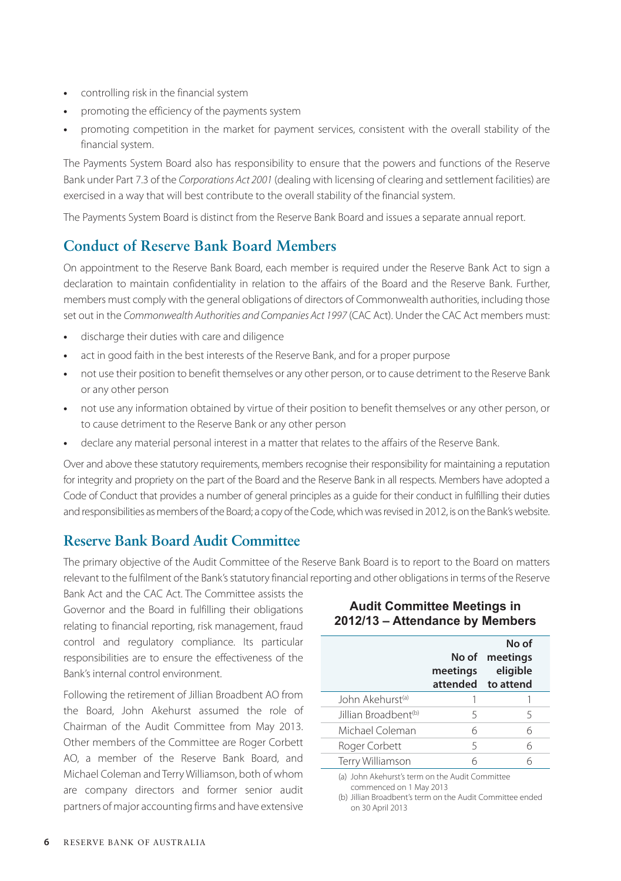- **•** controlling risk in the financial system
- **•** promoting the efficiency of the payments system
- **•** promoting competition in the market for payment services, consistent with the overall stability of the financial system.

The Payments System Board also has responsibility to ensure that the powers and functions of the Reserve Bank under Part 7.3 of the *Corporations Act 2001* (dealing with licensing of clearing and settlement facilities) are exercised in a way that will best contribute to the overall stability of the financial system.

The Payments System Board is distinct from the Reserve Bank Board and issues a separate annual report.

## **Conduct of Reserve Bank Board Members**

On appointment to the Reserve Bank Board, each member is required under the Reserve Bank Act to sign a declaration to maintain confidentiality in relation to the affairs of the Board and the Reserve Bank. Further, members must comply with the general obligations of directors of Commonwealth authorities, including those set out in the *Commonwealth Authorities and Companies Act 1997* (CAC Act). Under the CAC Act members must:

- **•** discharge their duties with care and diligence
- **•** act in good faith in the best interests of the Reserve Bank, and for a proper purpose
- **•** not use their position to benefit themselves or any other person, or to cause detriment to the Reserve Bank or any other person
- **•** not use any information obtained by virtue of their position to benefit themselves or any other person, or to cause detriment to the Reserve Bank or any other person
- **•** declare any material personal interest in a matter that relates to the affairs of the Reserve Bank.

Over and above these statutory requirements, members recognise their responsibility for maintaining a reputation for integrity and propriety on the part of the Board and the Reserve Bank in all respects. Members have adopted a Code of Conduct that provides a number of general principles as a guide for their conduct in fulfilling their duties and responsibilities as members of the Board; a copy of the Code, which was revised in 2012, is on the Bank's website.

## **Reserve Bank Board Audit Committee**

The primary objective of the Audit Committee of the Reserve Bank Board is to report to the Board on matters relevant to the fulfilment of the Bank's statutory financial reporting and other obligations in terms of the Reserve

Bank Act and the CAC Act. The Committee assists the Governor and the Board in fulfilling their obligations relating to financial reporting, risk management, fraud control and regulatory compliance. Its particular responsibilities are to ensure the effectiveness of the Bank's internal control environment.

Following the retirement of Jillian Broadbent AO from the Board, John Akehurst assumed the role of Chairman of the Audit Committee from May 2013. Other members of the Committee are Roger Corbett AO, a member of the Reserve Bank Board, and Michael Coleman and Terry Williamson, both of whom are company directors and former senior audit partners of major accounting firms and have extensive

#### **Audit Committee Meetings in 2012/13 – Attendance by Members**

|                                  | meetings | No of<br>No of meetings<br>eligible<br>attended to attend |
|----------------------------------|----------|-----------------------------------------------------------|
| John Akehurst <sup>(a)</sup>     |          |                                                           |
| Jillian Broadbent <sup>(b)</sup> | 5        | 5                                                         |
| Michael Coleman                  | 6        | 6                                                         |
| Roger Corbett                    | 5        | 6                                                         |
| Terry Williamson                 | 6        | б                                                         |
| .                                |          |                                                           |

(a) John Akehurst's term on the Audit Committee commenced on 1 May 2013

(b) Jillian Broadbent's term on the Audit Committee ended on 30 April 2013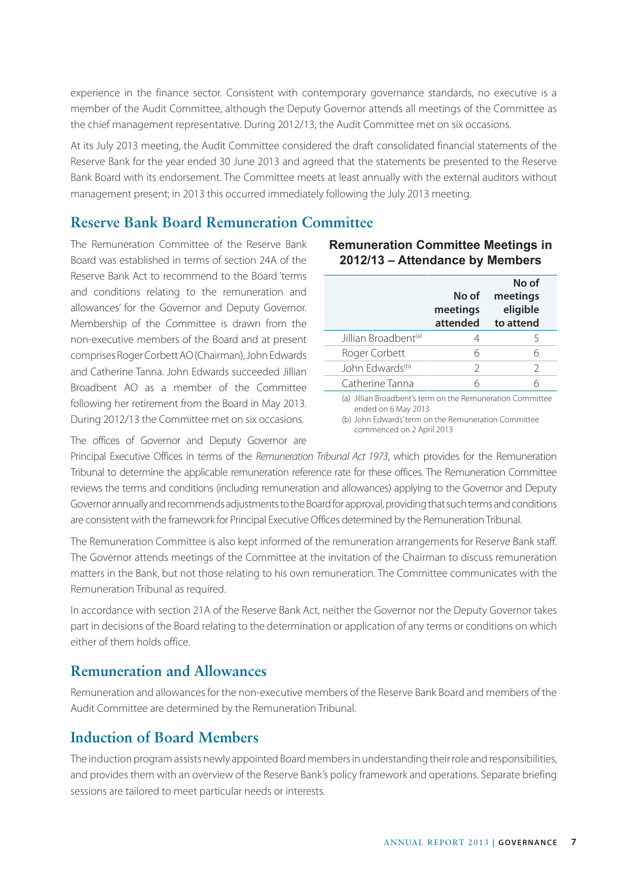experience in the finance sector. Consistent with contemporary governance standards, no executive is a member of the Audit Committee, although the Deputy Governor attends all meetings of the Committee as the chief management representative. During 2012/13, the Audit Committee met on six occasions.

At its July 2013 meeting, the Audit Committee considered the draft consolidated financial statements of the Reserve Bank for the year ended 30 June 2013 and agreed that the statements be presented to the Reserve Bank Board with its endorsement. The Committee meets at least annually with the external auditors without management present; in 2013 this occurred immediately following the July 2013 meeting.

#### **Reserve Bank Board Remuneration Committee**

The Remuneration Committee of the Reserve Bank Board was established in terms of section 24A of the Reserve Bank Act to recommend to the Board 'terms and conditions relating to the remuneration and allowances' for the Governor and Deputy Governor. Membership of the Committee is drawn from the non-executive members of the Board and at present comprises Roger Corbett AO (Chairman), John Edwards and Catherine Tanna. John Edwards succeeded Jillian Broadbent AO as a member of the Committee following her retirement from the Board in May 2013. During 2012/13 the Committee met on six occasions.

**Remuneration Committee Meetings in 2012/13 – Attendance by Members**

|                                                            | No of<br>meetings<br>attended | No of<br>meetings<br>eligible<br>to attend |
|------------------------------------------------------------|-------------------------------|--------------------------------------------|
| Jillian Broadbent <sup>(a)</sup>                           |                               | 5                                          |
| Roger Corbett                                              | 6                             | 6                                          |
| John Fdwards <sup>(b)</sup>                                | $\mathcal{L}$                 | $\mathfrak{D}$                             |
| Catherine Tanna                                            | 6                             | 6                                          |
| (a) Jillian Broadbent's term on the Remuneration Committee |                               |                                            |

(b) John Edwards' term on the Remuneration Committee

ended on 6 May 2013

commenced on 2 April 2013

The offices of Governor and Deputy Governor are Principal Executive Offices in terms of the *Remuneration Tribunal Act 1973*, which provides for the Remuneration Tribunal to determine the applicable remuneration reference rate for these offices. The Remuneration Committee reviews the terms and conditions (including remuneration and allowances) applying to the Governor and Deputy Governor annually and recommends adjustments to the Board for approval, providing that such terms and conditions are consistent with the framework for Principal Executive Offices determined by the Remuneration Tribunal.

The Remuneration Committee is also kept informed of the remuneration arrangements for Reserve Bank staff. The Governor attends meetings of the Committee at the invitation of the Chairman to discuss remuneration matters in the Bank, but not those relating to his own remuneration. The Committee communicates with the Remuneration Tribunal as required.

In accordance with section 21A of the Reserve Bank Act, neither the Governor nor the Deputy Governor takes part in decisions of the Board relating to the determination or application of any terms or conditions on which either of them holds office.

## **Remuneration and Allowances**

Remuneration and allowances for the non-executive members of the Reserve Bank Board and members of the Audit Committee are determined by the Remuneration Tribunal.

# **Induction of Board Members**

The induction program assists newly appointed Board members in understanding their role and responsibilities, and provides them with an overview of the Reserve Bank's policy framework and operations. Separate briefing sessions are tailored to meet particular needs or interests.